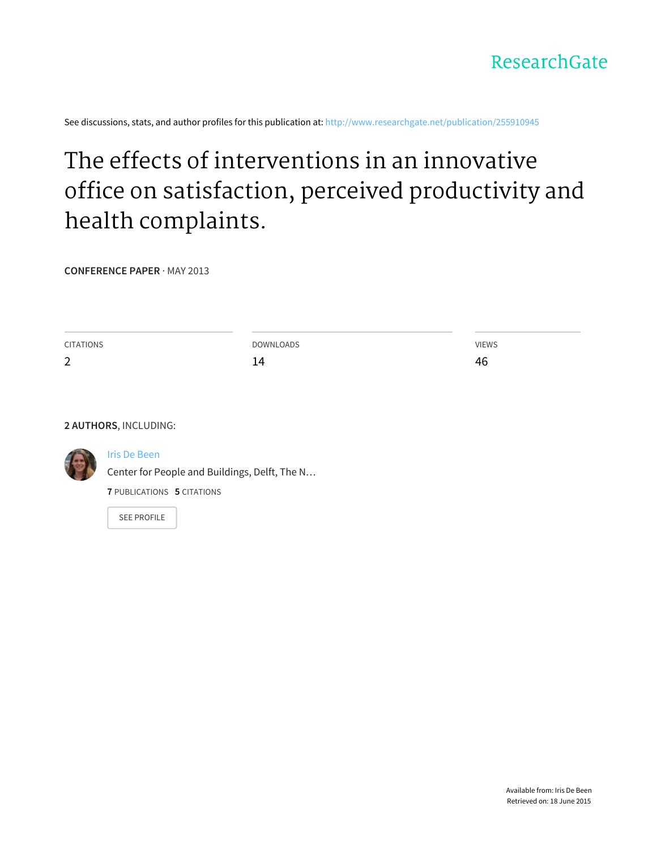See discussions, stats, and author profiles for this publication at: [http://www.researchgate.net/publication/255910945](http://www.researchgate.net/publication/255910945_The_effects_of_interventions_in_an_innovative_office_on_satisfaction_perceived_productivity_and_health_complaints?enrichId=rgreq-20dcd4d2-005e-4a0b-8d00-20647ae49037&enrichSource=Y292ZXJQYWdlOzI1NTkxMDk0NTtBUzoxNjA0NTg1NTYzMjE3OTNAMTQxNTI2NzcwOTY1Mw%3D%3D&el=1_x_2)

# The effects of [interventions](http://www.researchgate.net/publication/255910945_The_effects_of_interventions_in_an_innovative_office_on_satisfaction_perceived_productivity_and_health_complaints?enrichId=rgreq-20dcd4d2-005e-4a0b-8d00-20647ae49037&enrichSource=Y292ZXJQYWdlOzI1NTkxMDk0NTtBUzoxNjA0NTg1NTYzMjE3OTNAMTQxNTI2NzcwOTY1Mw%3D%3D&el=1_x_3) in an innovative office on satisfaction, perceived productivity and health complaints.

**CONFERENCE PAPER** · MAY 2013

| CITATIONS   | DOWNLOADS | <b>VIEWS</b> |
|-------------|-----------|--------------|
| $\sim$<br>Ź | 14        | 46           |

**2 AUTHORS**, INCLUDING:



#### Iris De [Been](http://www.researchgate.net/profile/Iris_De_Been2?enrichId=rgreq-20dcd4d2-005e-4a0b-8d00-20647ae49037&enrichSource=Y292ZXJQYWdlOzI1NTkxMDk0NTtBUzoxNjA0NTg1NTYzMjE3OTNAMTQxNTI2NzcwOTY1Mw%3D%3D&el=1_x_5)

Center for People and Buildings, Delft, The N… **7** PUBLICATIONS **5** CITATIONS

SEE [PROFILE](http://www.researchgate.net/profile/Iris_De_Been2?enrichId=rgreq-20dcd4d2-005e-4a0b-8d00-20647ae49037&enrichSource=Y292ZXJQYWdlOzI1NTkxMDk0NTtBUzoxNjA0NTg1NTYzMjE3OTNAMTQxNTI2NzcwOTY1Mw%3D%3D&el=1_x_7)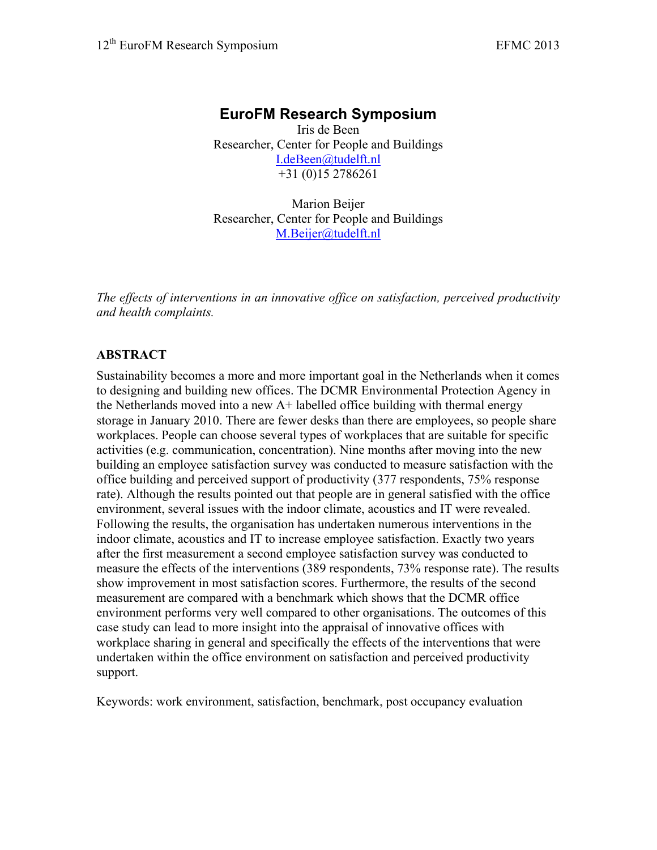# **EuroFM Research Symposium**

Iris de Been Researcher, Center for People and Buildings [I.deBeen@tudelft.nl](mailto:I.deBeen@tudelft.nl) +31 (0)15 2786261

Marion Beijer Researcher, Center for People and Buildings [M.Beijer@tudelft.nl](mailto:M.Beijer@tudelft.nl)

*The effects of interventions in an innovative office on satisfaction, perceived productivity and health complaints.*

## **ABSTRACT**

Sustainability becomes a more and more important goal in the Netherlands when it comes to designing and building new offices. The DCMR Environmental Protection Agency in the Netherlands moved into a new A+ labelled office building with thermal energy storage in January 2010. There are fewer desks than there are employees, so people share workplaces. People can choose several types of workplaces that are suitable for specific activities (e.g. communication, concentration). Nine months after moving into the new building an employee satisfaction survey was conducted to measure satisfaction with the office building and perceived support of productivity (377 respondents, 75% response rate). Although the results pointed out that people are in general satisfied with the office environment, several issues with the indoor climate, acoustics and IT were revealed. Following the results, the organisation has undertaken numerous interventions in the indoor climate, acoustics and IT to increase employee satisfaction. Exactly two years after the first measurement a second employee satisfaction survey was conducted to measure the effects of the interventions (389 respondents, 73% response rate). The results show improvement in most satisfaction scores. Furthermore, the results of the second measurement are compared with a benchmark which shows that the DCMR office environment performs very well compared to other organisations. The outcomes of this case study can lead to more insight into the appraisal of innovative offices with workplace sharing in general and specifically the effects of the interventions that were undertaken within the office environment on satisfaction and perceived productivity support.

Keywords: work environment, satisfaction, benchmark, post occupancy evaluation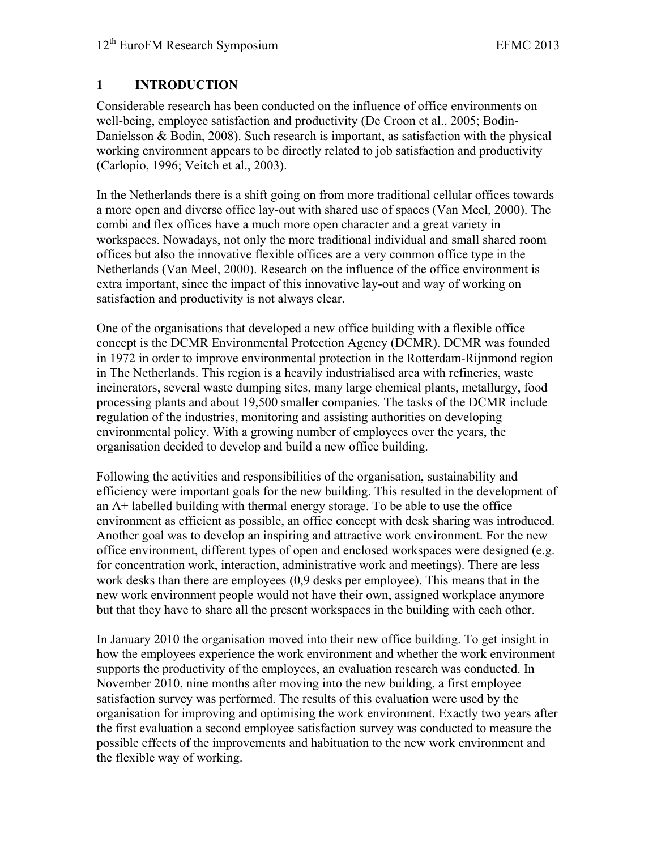## **1 INTRODUCTION**

Considerable research has been conducted on the influence of office environments on well-being, employee satisfaction and productivity (De Croon et al., 2005; Bodin-Danielsson & Bodin, 2008). Such research is important, as satisfaction with the physical working environment appears to be directly related to job satisfaction and productivity (Carlopio, 1996; Veitch et al., 2003).

In the Netherlands there is a shift going on from more traditional cellular offices towards a more open and diverse office lay-out with shared use of spaces (Van Meel, 2000). The combi and flex offices have a much more open character and a great variety in workspaces. Nowadays, not only the more traditional individual and small shared room offices but also the innovative flexible offices are a very common office type in the Netherlands (Van Meel, 2000). Research on the influence of the office environment is extra important, since the impact of this innovative lay-out and way of working on satisfaction and productivity is not always clear.

One of the organisations that developed a new office building with a flexible office concept is the DCMR Environmental Protection Agency (DCMR). DCMR was founded in 1972 in order to improve environmental protection in the Rotterdam-Rijnmond region in The Netherlands. This region is a heavily industrialised area with refineries, waste incinerators, several waste dumping sites, many large chemical plants, metallurgy, food processing plants and about 19,500 smaller companies. The tasks of the DCMR include regulation of the industries, monitoring and assisting authorities on developing environmental policy. With a growing number of employees over the years, the organisation decided to develop and build a new office building.

Following the activities and responsibilities of the organisation, sustainability and efficiency were important goals for the new building. This resulted in the development of an A+ labelled building with thermal energy storage. To be able to use the office environment as efficient as possible, an office concept with desk sharing was introduced. Another goal was to develop an inspiring and attractive work environment. For the new office environment, different types of open and enclosed workspaces were designed (e.g. for concentration work, interaction, administrative work and meetings). There are less work desks than there are employees (0,9 desks per employee). This means that in the new work environment people would not have their own, assigned workplace anymore but that they have to share all the present workspaces in the building with each other.

In January 2010 the organisation moved into their new office building. To get insight in how the employees experience the work environment and whether the work environment supports the productivity of the employees, an evaluation research was conducted. In November 2010, nine months after moving into the new building, a first employee satisfaction survey was performed. The results of this evaluation were used by the organisation for improving and optimising the work environment. Exactly two years after the first evaluation a second employee satisfaction survey was conducted to measure the possible effects of the improvements and habituation to the new work environment and the flexible way of working.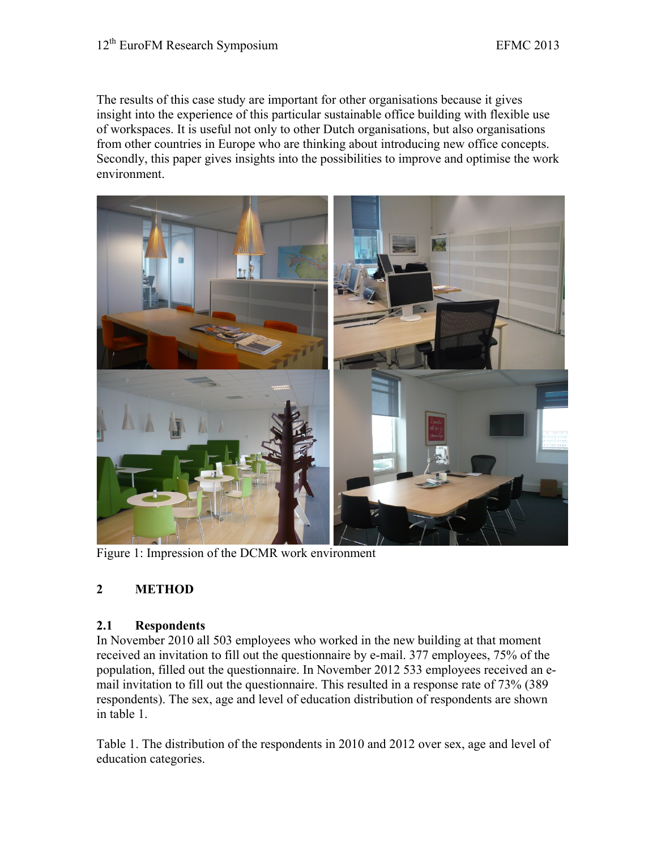The results of this case study are important for other organisations because it gives insight into the experience of this particular sustainable office building with flexible use of workspaces. It is useful not only to other Dutch organisations, but also organisations from other countries in Europe who are thinking about introducing new office concepts. Secondly, this paper gives insights into the possibilities to improve and optimise the work environment.



Figure 1: Impression of the DCMR work environment

## **2 METHOD**

#### **2.1 Respondents**

In November 2010 all 503 employees who worked in the new building at that moment received an invitation to fill out the questionnaire by e-mail. 377 employees, 75% of the population, filled out the questionnaire. In November 2012 533 employees received an email invitation to fill out the questionnaire. This resulted in a response rate of 73% (389 respondents). The sex, age and level of education distribution of respondents are shown in table 1.

Table 1. The distribution of the respondents in 2010 and 2012 over sex, age and level of education categories.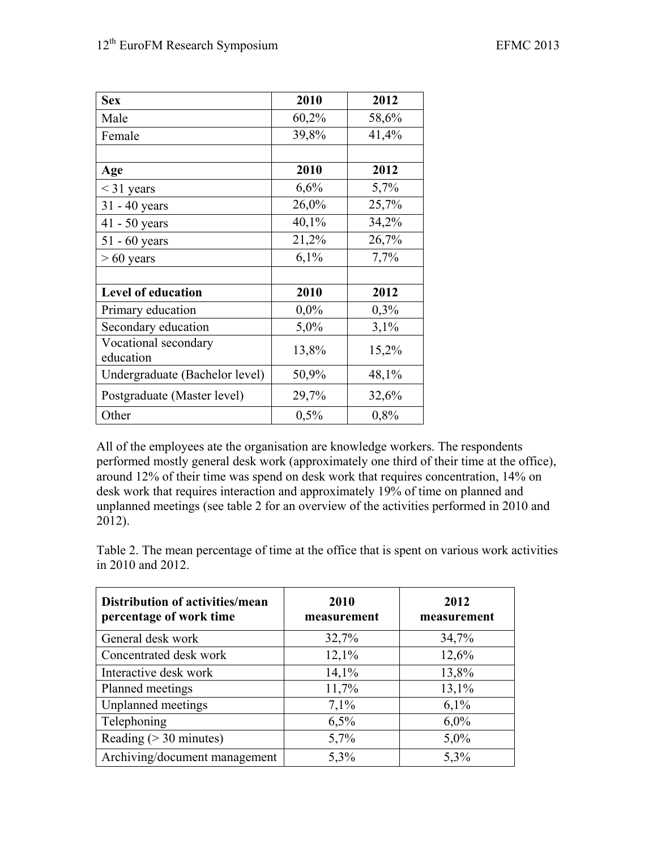| <b>Sex</b>                        | 2010    | 2012  |
|-----------------------------------|---------|-------|
| Male                              | 60,2%   | 58,6% |
| Female                            | 39,8%   | 41,4% |
|                                   |         |       |
| Age                               | 2010    | 2012  |
| $<$ 31 years                      | 6,6%    | 5,7%  |
| 31 - 40 years                     | 26,0%   | 25,7% |
| 41 - 50 years                     | 40,1%   | 34,2% |
| $51 - 60$ years                   | 21,2%   | 26,7% |
| $> 60$ years                      | 6,1%    | 7,7%  |
|                                   |         |       |
| <b>Level of education</b>         | 2010    | 2012  |
| Primary education                 | $0,0\%$ | 0,3%  |
| Secondary education               | 5,0%    | 3,1%  |
| Vocational secondary<br>education | 13,8%   | 15,2% |
| Undergraduate (Bachelor level)    | 50,9%   | 48,1% |
| Postgraduate (Master level)       | 29,7%   | 32,6% |
| Other                             | 0,5%    | 0,8%  |

All of the employees ate the organisation are knowledge workers. The respondents performed mostly general desk work (approximately one third of their time at the office), around 12% of their time was spend on desk work that requires concentration, 14% on desk work that requires interaction and approximately 19% of time on planned and unplanned meetings (see table 2 for an overview of the activities performed in 2010 and 2012).

Table 2. The mean percentage of time at the office that is spent on various work activities in 2010 and 2012.

| Distribution of activities/mean<br>percentage of work time | 2010<br>measurement | 2012<br>measurement |
|------------------------------------------------------------|---------------------|---------------------|
| General desk work                                          | 32,7%               | 34,7%               |
| Concentrated desk work                                     | 12,1%               | 12,6%               |
| Interactive desk work                                      | 14,1%               | 13,8%               |
| Planned meetings                                           | 11,7%               | 13,1%               |
| Unplanned meetings                                         | 7,1%                | 6,1%                |
| Telephoning                                                | 6,5%                | 6,0%                |
| Reading ( $>$ 30 minutes)                                  | 5,7%                | 5,0%                |
| Archiving/document management                              | 5,3%                | 5,3%                |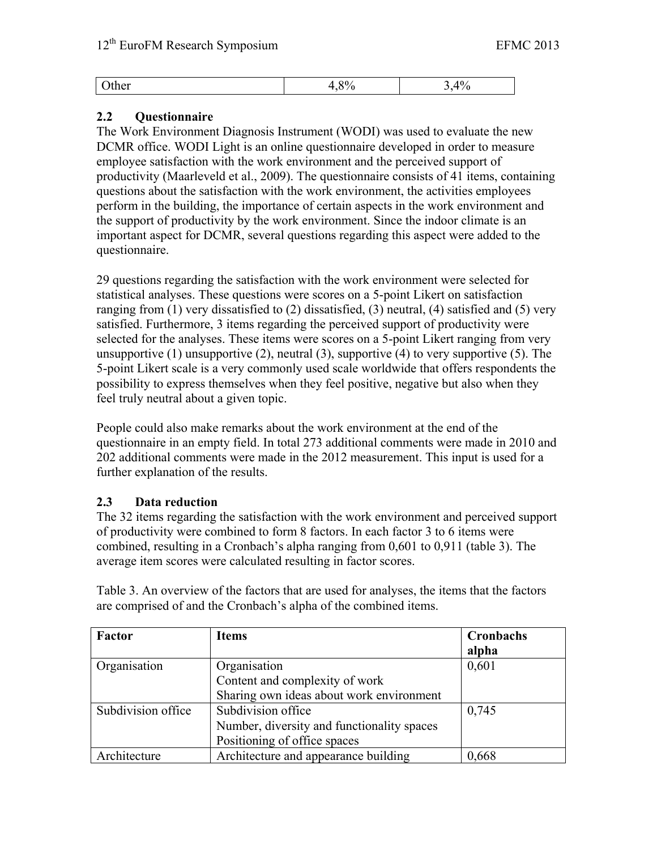| ulvi |
|------|
|------|

## **2.2 Questionnaire**

The Work Environment Diagnosis Instrument (WODI) was used to evaluate the new DCMR office. WODI Light is an online questionnaire developed in order to measure employee satisfaction with the work environment and the perceived support of productivity (Maarleveld et al., 2009). The questionnaire consists of 41 items, containing questions about the satisfaction with the work environment, the activities employees perform in the building, the importance of certain aspects in the work environment and the support of productivity by the work environment. Since the indoor climate is an important aspect for DCMR, several questions regarding this aspect were added to the questionnaire.

29 questions regarding the satisfaction with the work environment were selected for statistical analyses. These questions were scores on a 5-point Likert on satisfaction ranging from (1) very dissatisfied to (2) dissatisfied, (3) neutral, (4) satisfied and (5) very satisfied. Furthermore, 3 items regarding the perceived support of productivity were selected for the analyses. These items were scores on a 5-point Likert ranging from very unsupportive  $(1)$  unsupportive  $(2)$ , neutral  $(3)$ , supportive  $(4)$  to very supportive  $(5)$ . The 5-point Likert scale is a very commonly used scale worldwide that offers respondents the possibility to express themselves when they feel positive, negative but also when they feel truly neutral about a given topic.

People could also make remarks about the work environment at the end of the questionnaire in an empty field. In total 273 additional comments were made in 2010 and 202 additional comments were made in the 2012 measurement. This input is used for a further explanation of the results.

## **2.3 Data reduction**

The 32 items regarding the satisfaction with the work environment and perceived support of productivity were combined to form 8 factors. In each factor 3 to 6 items were combined, resulting in a Cronbach's alpha ranging from 0,601 to 0,911 (table 3). The average item scores were calculated resulting in factor scores.

| Factor             | <b>Items</b>                               | Cronbachs<br>alpha |
|--------------------|--------------------------------------------|--------------------|
| Organisation       | Organisation                               | 0,601              |
|                    | Content and complexity of work             |                    |
|                    | Sharing own ideas about work environment   |                    |
| Subdivision office | Subdivision office                         | 0,745              |
|                    | Number, diversity and functionality spaces |                    |
|                    | Positioning of office spaces               |                    |
| Architecture       | Architecture and appearance building       | 0,668              |

Table 3. An overview of the factors that are used for analyses, the items that the factors are comprised of and the Cronbach's alpha of the combined items.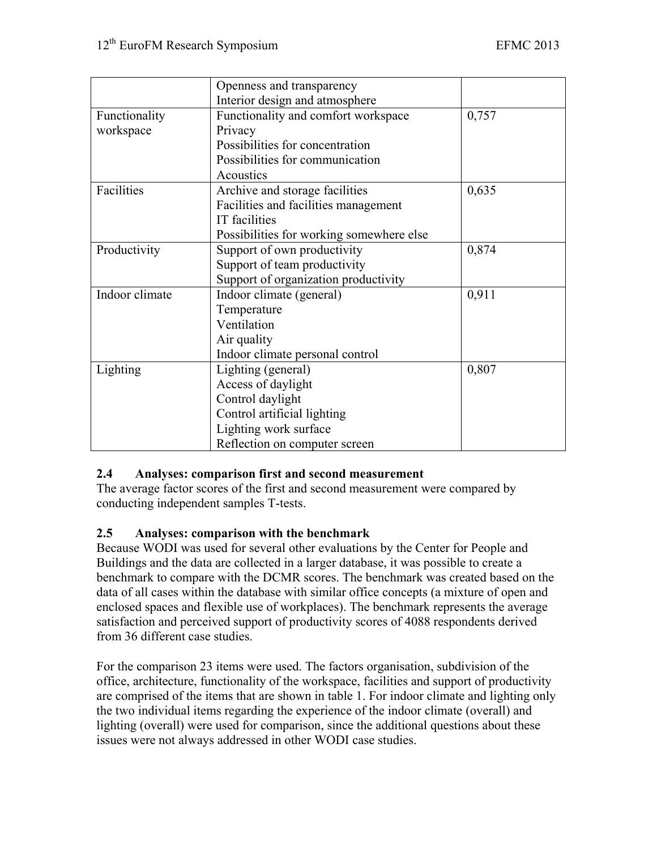|                | Openness and transparency                |       |
|----------------|------------------------------------------|-------|
|                | Interior design and atmosphere           |       |
| Functionality  | Functionality and comfort workspace      |       |
| workspace      | Privacy                                  |       |
|                | Possibilities for concentration          |       |
|                | Possibilities for communication          |       |
|                | Acoustics                                |       |
| Facilities     | Archive and storage facilities           | 0,635 |
|                | Facilities and facilities management     |       |
|                | IT facilities                            |       |
|                | Possibilities for working somewhere else |       |
| Productivity   | Support of own productivity<br>0,874     |       |
|                | Support of team productivity             |       |
|                | Support of organization productivity     |       |
| Indoor climate | Indoor climate (general)                 | 0,911 |
|                | Temperature                              |       |
|                | Ventilation                              |       |
|                | Air quality                              |       |
|                | Indoor climate personal control          |       |
| Lighting       | Lighting (general)                       | 0,807 |
|                | Access of daylight                       |       |
|                | Control daylight                         |       |
|                | Control artificial lighting              |       |
|                | Lighting work surface                    |       |
|                | Reflection on computer screen            |       |

## **2.4 Analyses: comparison first and second measurement**

The average factor scores of the first and second measurement were compared by conducting independent samples T-tests.

## **2.5 Analyses: comparison with the benchmark**

Because WODI was used for several other evaluations by the Center for People and Buildings and the data are collected in a larger database, it was possible to create a benchmark to compare with the DCMR scores. The benchmark was created based on the data of all cases within the database with similar office concepts (a mixture of open and enclosed spaces and flexible use of workplaces). The benchmark represents the average satisfaction and perceived support of productivity scores of 4088 respondents derived from 36 different case studies.

For the comparison 23 items were used. The factors organisation, subdivision of the office, architecture, functionality of the workspace, facilities and support of productivity are comprised of the items that are shown in table 1. For indoor climate and lighting only the two individual items regarding the experience of the indoor climate (overall) and lighting (overall) were used for comparison, since the additional questions about these issues were not always addressed in other WODI case studies.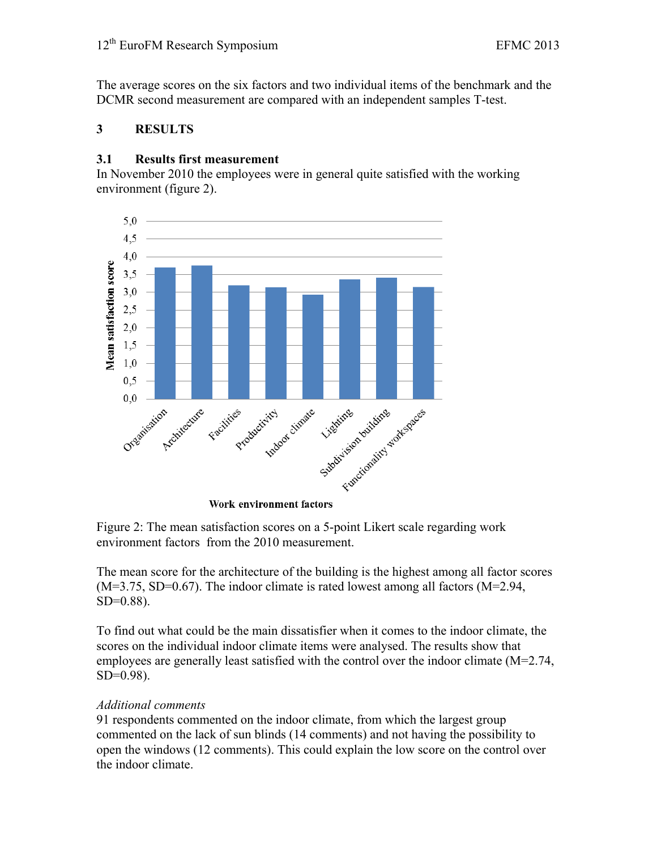The average scores on the six factors and two individual items of the benchmark and the DCMR second measurement are compared with an independent samples T-test.

## **3 RESULTS**

#### **3.1 Results first measurement**

In November 2010 the employees were in general quite satisfied with the working environment (figure 2).



Figure 2: The mean satisfaction scores on a 5-point Likert scale regarding work environment factors from the 2010 measurement.

The mean score for the architecture of the building is the highest among all factor scores  $(M=3.75, SD=0.67)$ . The indoor climate is rated lowest among all factors  $(M=2.94, M=2.94)$  $SD=0.88$ ).

To find out what could be the main dissatisfier when it comes to the indoor climate, the scores on the individual indoor climate items were analysed. The results show that employees are generally least satisfied with the control over the indoor climate (M=2.74, SD=0.98).

#### *Additional comments*

91 respondents commented on the indoor climate, from which the largest group commented on the lack of sun blinds (14 comments) and not having the possibility to open the windows (12 comments). This could explain the low score on the control over the indoor climate.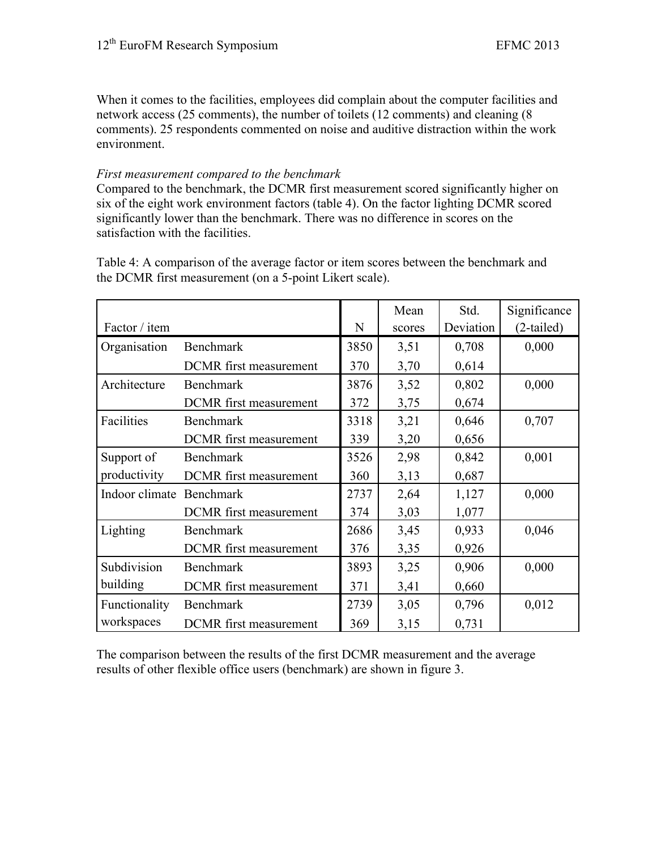When it comes to the facilities, employees did complain about the computer facilities and network access (25 comments), the number of toilets (12 comments) and cleaning (8 comments). 25 respondents commented on noise and auditive distraction within the work environment.

#### *First measurement compared to the benchmark*

Compared to the benchmark, the DCMR first measurement scored significantly higher on six of the eight work environment factors (table 4). On the factor lighting DCMR scored significantly lower than the benchmark. There was no difference in scores on the satisfaction with the facilities.

Table 4: A comparison of the average factor or item scores between the benchmark and the DCMR first measurement (on a 5-point Likert scale).

|                          |                               |      | Mean   | Std.      | Significance |
|--------------------------|-------------------------------|------|--------|-----------|--------------|
| Factor / item            |                               | N    | scores | Deviation | $(2-tailed)$ |
| Organisation             | <b>Benchmark</b>              | 3850 | 3,51   | 0,708     | 0,000        |
|                          | DCMR first measurement        | 370  | 3,70   | 0,614     |              |
| Architecture             | <b>Benchmark</b>              | 3876 | 3,52   | 0,802     | 0,000        |
|                          | DCMR first measurement        | 372  | 3,75   | 0,674     |              |
| Facilities               | <b>Benchmark</b>              | 3318 | 3,21   | 0,646     | 0,707        |
|                          | <b>DCMR</b> first measurement | 339  | 3,20   | 0,656     |              |
| Support of               | <b>Benchmark</b>              | 3526 | 2,98   | 0,842     | 0,001        |
| productivity             | <b>DCMR</b> first measurement | 360  | 3,13   | 0,687     |              |
| Indoor climate Benchmark |                               | 2737 | 2,64   | 1,127     | 0,000        |
|                          | <b>DCMR</b> first measurement | 374  | 3,03   | 1,077     |              |
| Lighting                 | <b>Benchmark</b>              | 2686 | 3,45   | 0,933     | 0,046        |
|                          | DCMR first measurement        | 376  | 3,35   | 0,926     |              |
| Subdivision              | <b>Benchmark</b>              | 3893 | 3,25   | 0,906     | 0,000        |
| building                 | DCMR first measurement        | 371  | 3,41   | 0,660     |              |
| Functionality            | <b>Benchmark</b>              | 2739 | 3,05   | 0,796     | 0,012        |
| workspaces               | <b>DCMR</b> first measurement | 369  | 3,15   | 0,731     |              |

The comparison between the results of the first DCMR measurement and the average results of other flexible office users (benchmark) are shown in figure 3.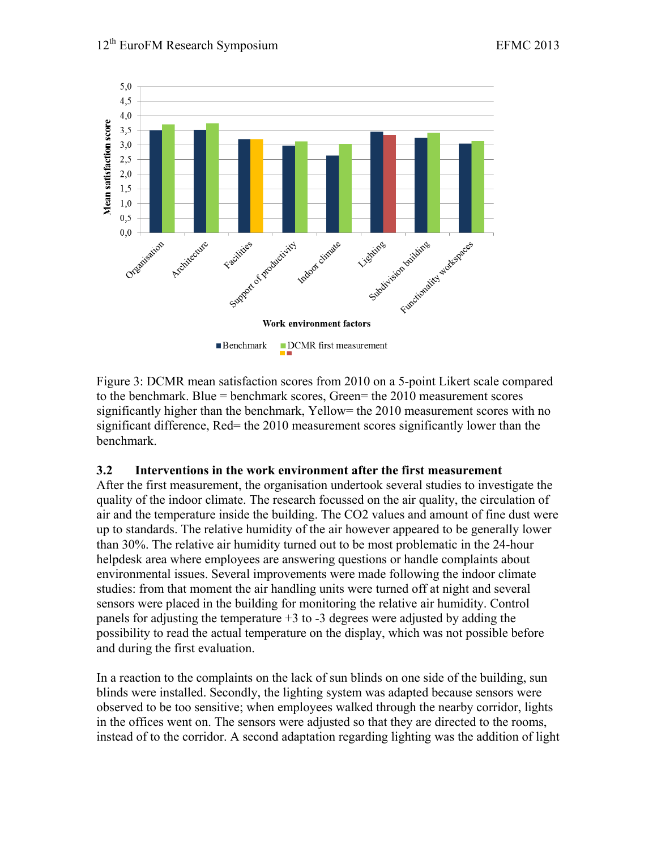

Figure 3: DCMR mean satisfaction scores from 2010 on a 5-point Likert scale compared to the benchmark. Blue = benchmark scores, Green= the 2010 measurement scores significantly higher than the benchmark, Yellow= the 2010 measurement scores with no significant difference, Red= the 2010 measurement scores significantly lower than the benchmark.

#### **3.2 Interventions in the work environment after the first measurement**

After the first measurement, the organisation undertook several studies to investigate the quality of the indoor climate. The research focussed on the air quality, the circulation of air and the temperature inside the building. The CO2 values and amount of fine dust were up to standards. The relative humidity of the air however appeared to be generally lower than 30%. The relative air humidity turned out to be most problematic in the 24-hour helpdesk area where employees are answering questions or handle complaints about environmental issues. Several improvements were made following the indoor climate studies: from that moment the air handling units were turned off at night and several sensors were placed in the building for monitoring the relative air humidity. Control panels for adjusting the temperature  $+3$  to  $-3$  degrees were adjusted by adding the possibility to read the actual temperature on the display, which was not possible before and during the first evaluation.

In a reaction to the complaints on the lack of sun blinds on one side of the building, sun blinds were installed. Secondly, the lighting system was adapted because sensors were observed to be too sensitive; when employees walked through the nearby corridor, lights in the offices went on. The sensors were adjusted so that they are directed to the rooms, instead of to the corridor. A second adaptation regarding lighting was the addition of light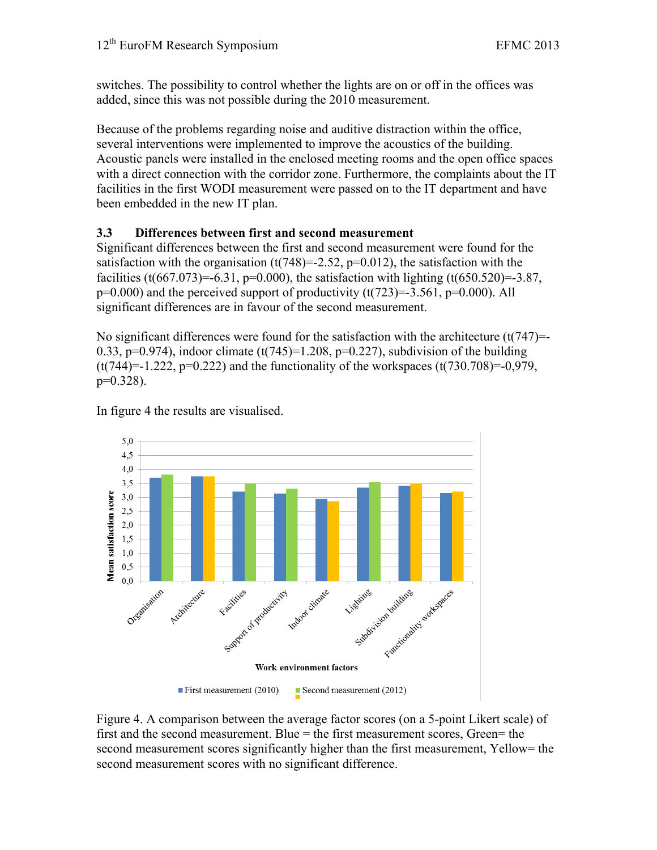switches. The possibility to control whether the lights are on or off in the offices was added, since this was not possible during the 2010 measurement.

Because of the problems regarding noise and auditive distraction within the office, several interventions were implemented to improve the acoustics of the building. Acoustic panels were installed in the enclosed meeting rooms and the open office spaces with a direct connection with the corridor zone. Furthermore, the complaints about the IT facilities in the first WODI measurement were passed on to the IT department and have been embedded in the new IT plan.

# **3.3 Differences between first and second measurement**

Significant differences between the first and second measurement were found for the satisfaction with the organisation  $(t(748)=2.52, p=0.012)$ , the satisfaction with the facilities (t(667.073)=-6.31, p=0.000), the satisfaction with lighting (t(650.520)=-3.87,  $p=0.000$ ) and the perceived support of productivity  $(t(723)=3.561, p=0.000)$ . All significant differences are in favour of the second measurement.

No significant differences were found for the satisfaction with the architecture  $(t(747)=$ 0.33, p=0.974), indoor climate  $(t(745)=1.208, p=0.227)$ , subdivision of the building  $(t(744)=1.222, p=0.222)$  and the functionality of the workspaces  $(t(730.708)=0.979,$  $p=0.328$ ).

In figure 4 the results are visualised.



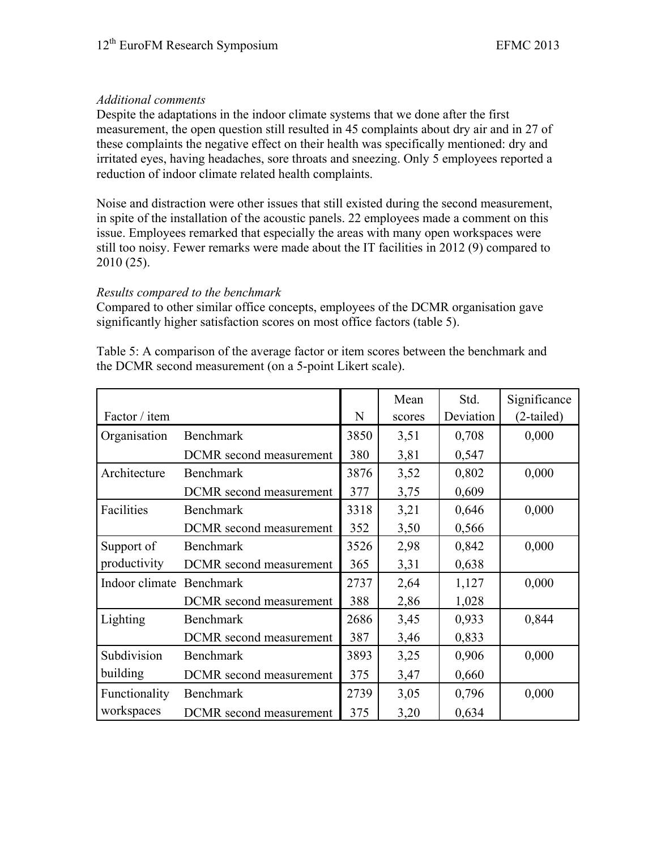## *Additional comments*

Despite the adaptations in the indoor climate systems that we done after the first measurement, the open question still resulted in 45 complaints about dry air and in 27 of these complaints the negative effect on their health was specifically mentioned: dry and irritated eyes, having headaches, sore throats and sneezing. Only 5 employees reported a reduction of indoor climate related health complaints.

Noise and distraction were other issues that still existed during the second measurement, in spite of the installation of the acoustic panels. 22 employees made a comment on this issue. Employees remarked that especially the areas with many open workspaces were still too noisy. Fewer remarks were made about the IT facilities in 2012 (9) compared to 2010 (25).

## *Results compared to the benchmark*

Compared to other similar office concepts, employees of the DCMR organisation gave significantly higher satisfaction scores on most office factors (table 5).

Table 5: A comparison of the average factor or item scores between the benchmark and the DCMR second measurement (on a 5-point Likert scale).

|                          |                         |      | Mean   | Std.      | Significance |
|--------------------------|-------------------------|------|--------|-----------|--------------|
| Factor / item            |                         | N    | scores | Deviation | $(2-tailed)$ |
| Organisation             | <b>Benchmark</b>        | 3850 | 3,51   | 0,708     | 0,000        |
|                          | DCMR second measurement | 380  | 3,81   | 0,547     |              |
| Architecture             | <b>Benchmark</b>        | 3876 | 3,52   | 0,802     | 0,000        |
|                          | DCMR second measurement | 377  | 3,75   | 0,609     |              |
| Facilities               | <b>Benchmark</b>        | 3318 | 3,21   | 0,646     | 0,000        |
|                          | DCMR second measurement | 352  | 3,50   | 0,566     |              |
| Support of               | <b>Benchmark</b>        | 3526 | 2,98   | 0,842     | 0,000        |
| productivity             | DCMR second measurement | 365  | 3,31   | 0,638     |              |
| Indoor climate Benchmark |                         | 2737 | 2,64   | 1,127     | 0,000        |
|                          | DCMR second measurement | 388  | 2,86   | 1,028     |              |
| Lighting                 | <b>Benchmark</b>        | 2686 | 3,45   | 0,933     | 0,844        |
|                          | DCMR second measurement | 387  | 3,46   | 0,833     |              |
| Subdivision              | <b>Benchmark</b>        | 3893 | 3,25   | 0,906     | 0,000        |
| building                 | DCMR second measurement | 375  | 3,47   | 0,660     |              |
| Functionality            | Benchmark               | 2739 | 3,05   | 0,796     | 0,000        |
| workspaces               | DCMR second measurement | 375  | 3,20   | 0,634     |              |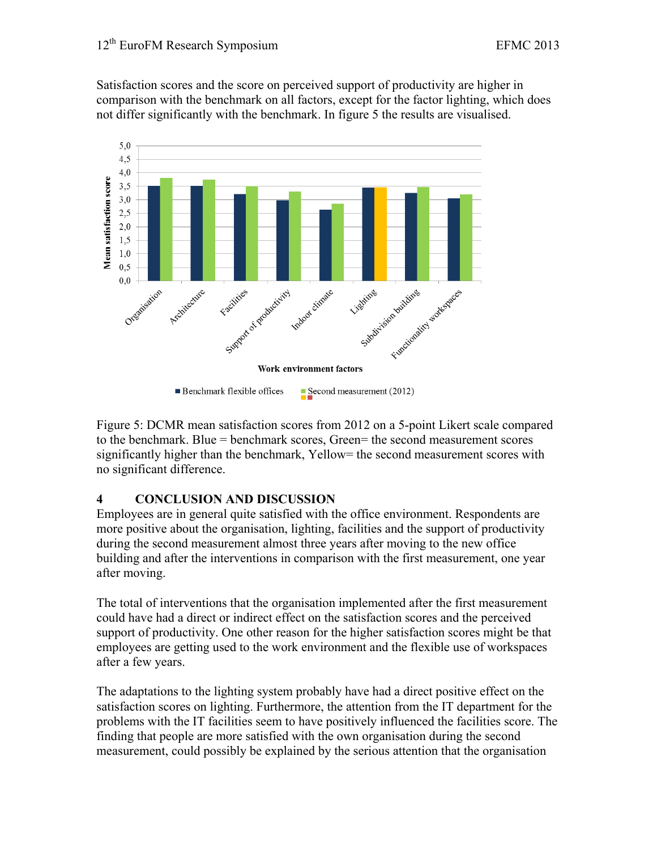Satisfaction scores and the score on perceived support of productivity are higher in comparison with the benchmark on all factors, except for the factor lighting, which does not differ significantly with the benchmark. In figure 5 the results are visualised.



Figure 5: DCMR mean satisfaction scores from 2012 on a 5-point Likert scale compared to the benchmark. Blue = benchmark scores, Green= the second measurement scores significantly higher than the benchmark, Yellow= the second measurement scores with no significant difference.

#### **4 CONCLUSION AND DISCUSSION**

Employees are in general quite satisfied with the office environment. Respondents are more positive about the organisation, lighting, facilities and the support of productivity during the second measurement almost three years after moving to the new office building and after the interventions in comparison with the first measurement, one year after moving.

The total of interventions that the organisation implemented after the first measurement could have had a direct or indirect effect on the satisfaction scores and the perceived support of productivity. One other reason for the higher satisfaction scores might be that employees are getting used to the work environment and the flexible use of workspaces after a few years.

The adaptations to the lighting system probably have had a direct positive effect on the satisfaction scores on lighting. Furthermore, the attention from the IT department for the problems with the IT facilities seem to have positively influenced the facilities score. The finding that people are more satisfied with the own organisation during the second measurement, could possibly be explained by the serious attention that the organisation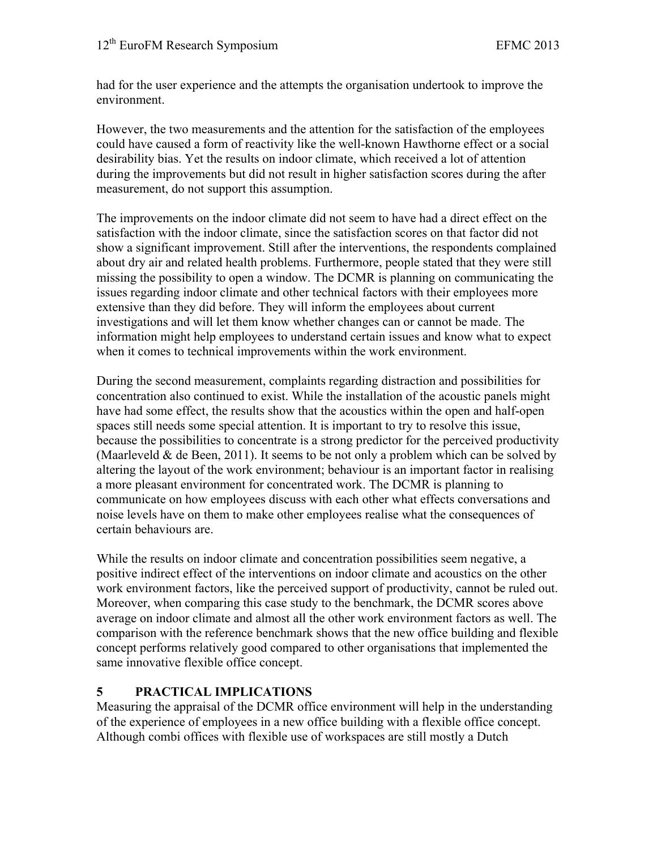had for the user experience and the attempts the organisation undertook to improve the environment.

However, the two measurements and the attention for the satisfaction of the employees could have caused a form of reactivity like the well-known Hawthorne effect or a social desirability bias. Yet the results on indoor climate, which received a lot of attention during the improvements but did not result in higher satisfaction scores during the after measurement, do not support this assumption.

The improvements on the indoor climate did not seem to have had a direct effect on the satisfaction with the indoor climate, since the satisfaction scores on that factor did not show a significant improvement. Still after the interventions, the respondents complained about dry air and related health problems. Furthermore, people stated that they were still missing the possibility to open a window. The DCMR is planning on communicating the issues regarding indoor climate and other technical factors with their employees more extensive than they did before. They will inform the employees about current investigations and will let them know whether changes can or cannot be made. The information might help employees to understand certain issues and know what to expect when it comes to technical improvements within the work environment.

During the second measurement, complaints regarding distraction and possibilities for concentration also continued to exist. While the installation of the acoustic panels might have had some effect, the results show that the acoustics within the open and half-open spaces still needs some special attention. It is important to try to resolve this issue, because the possibilities to concentrate is a strong predictor for the perceived productivity (Maarleveld  $\&$  de Been, 2011). It seems to be not only a problem which can be solved by altering the layout of the work environment; behaviour is an important factor in realising a more pleasant environment for concentrated work. The DCMR is planning to communicate on how employees discuss with each other what effects conversations and noise levels have on them to make other employees realise what the consequences of certain behaviours are.

While the results on indoor climate and concentration possibilities seem negative, a positive indirect effect of the interventions on indoor climate and acoustics on the other work environment factors, like the perceived support of productivity, cannot be ruled out. Moreover, when comparing this case study to the benchmark, the DCMR scores above average on indoor climate and almost all the other work environment factors as well. The comparison with the reference benchmark shows that the new office building and flexible concept performs relatively good compared to other organisations that implemented the same innovative flexible office concept.

## **5 PRACTICAL IMPLICATIONS**

Measuring the appraisal of the DCMR office environment will help in the understanding of the experience of employees in a new office building with a flexible office concept. Although combi offices with flexible use of workspaces are still mostly a Dutch